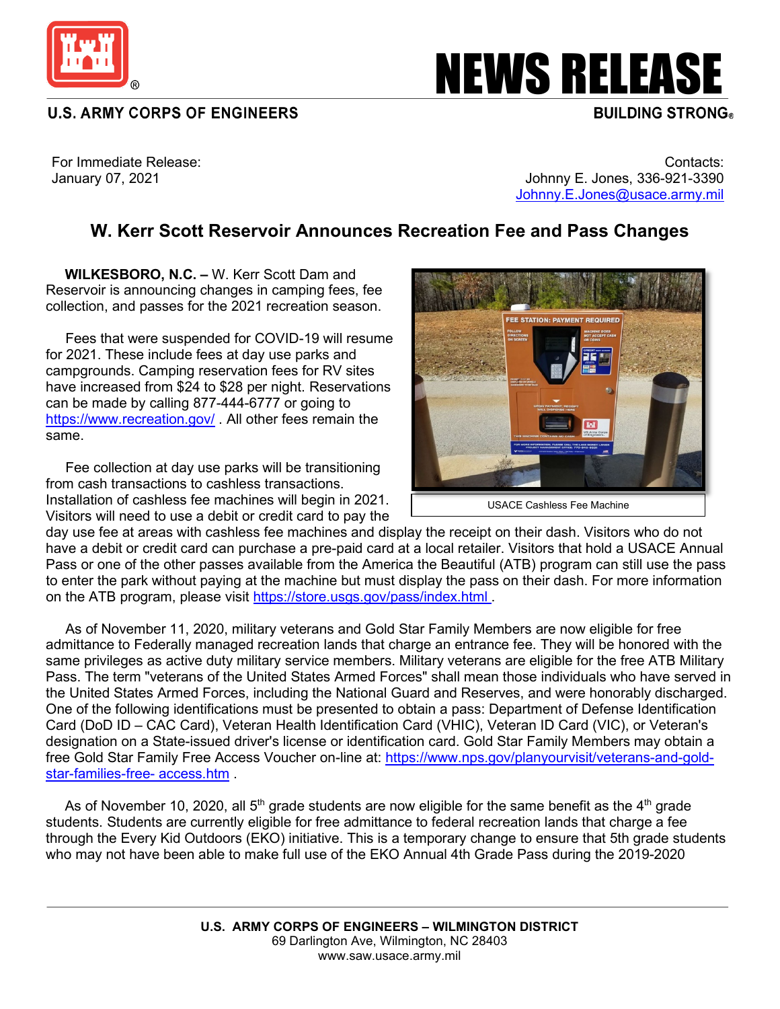

**U.S. ARMY CORPS OF ENGINEERS** 

## **NEWS RELEASE**

For Immediate Release: January 07, 2021

Contacts: Johnny E. Jones, 336-921-3390 [Johnny.E.Jones@usace.army.mil](mailto:Johnny.E.Jones@usace.army.mil)

## **W. Kerr Scott Reservoir Announces Recreation Fee and Pass Changes**

 **WILKESBORO, N.C. –** W. Kerr Scott Dam and Reservoir is announcing changes in camping fees, fee collection, and passes for the 2021 recreation season.

 Fees that were suspended for COVID-19 will resume for 2021. These include fees at day use parks and campgrounds. Camping reservation fees for RV sites have increased from \$24 to \$28 per night. Reservations can be made by calling 877-444-6777 or going to <https://www.recreation.gov/> . All other fees remain the same.

 Fee collection at day use parks will be transitioning from cash transactions to cashless transactions. Installation of cashless fee machines will begin in 2021. Visitors will need to use a debit or credit card to pay the



day use fee at areas with cashless fee machines and display the receipt on their dash. Visitors who do not have a debit or credit card can purchase a pre-paid card at a local retailer. Visitors that hold a USACE Annual Pass or one of the other passes available from the America the Beautiful (ATB) program can still use the pass to enter the park without paying at the machine but must display the pass on their dash. For more information on the ATB program, please visit<https://store.usgs.gov/pass/index.html> .

 As of November 11, 2020, military veterans and Gold Star Family Members are now eligible for free admittance to Federally managed recreation lands that charge an entrance fee. They will be honored with the same privileges as active duty military service members. Military veterans are eligible for the free ATB Military Pass. The term "veterans of the United States Armed Forces" shall mean those individuals who have served in the United States Armed Forces, including the National Guard and Reserves, and were honorably discharged. One of the following identifications must be presented to obtain a pass: Department of Defense Identification Card (DoD ID – CAC Card), Veteran Health Identification Card (VHIC), Veteran ID Card (VIC), or Veteran's designation on a State-issued driver's license or identification card. Gold Star Family Members may obtain a free Gold Star Family Free Access Voucher on-line at: [https://www.nps.gov/planyourvisit/veterans-and-gold](https://www.nps.gov/planyourvisit/veterans-and-gold-star-families-free-%20access.htm)[star-families-free-](https://www.nps.gov/planyourvisit/veterans-and-gold-star-families-free-%20access.htm) access.htm .

As of November 10, 2020, all  $5<sup>th</sup>$  grade students are now eligible for the same benefit as the  $4<sup>th</sup>$  grade students. Students are currently eligible for free admittance to federal recreation lands that charge a fee through the Every Kid Outdoors (EKO) initiative. This is a temporary change to ensure that 5th grade students who may not have been able to make full use of the EKO Annual 4th Grade Pass during the 2019-2020